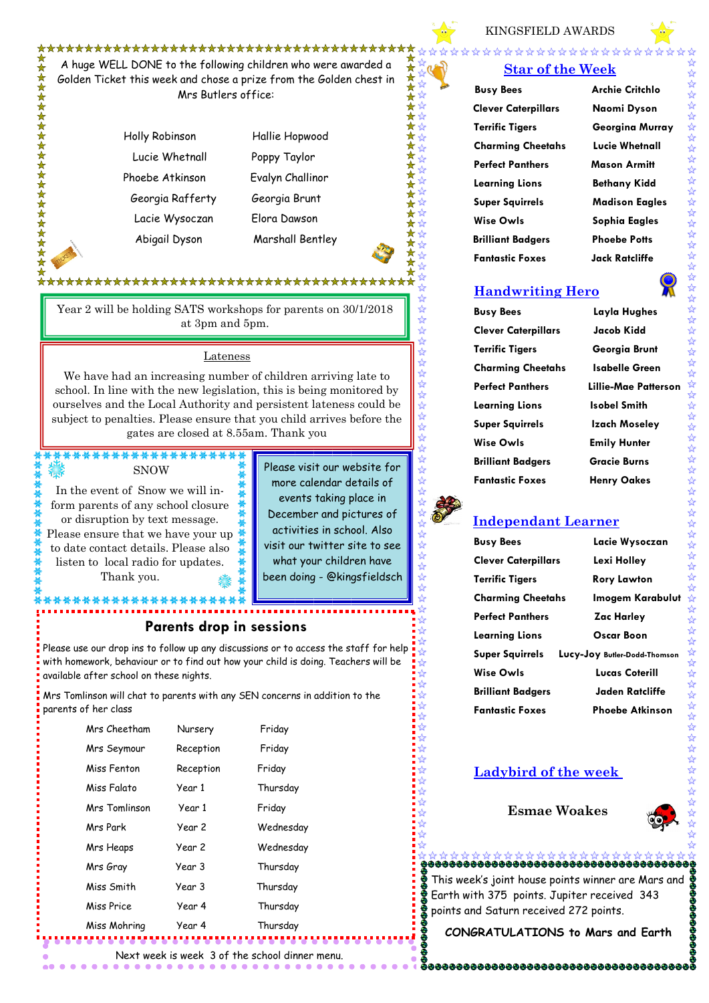

#### \*\*\*\*\*\*\*\*\*\*\*\*\*  **Star of the Week**

| <b>Busy Bees</b>           | Archie Critchlo       |
|----------------------------|-----------------------|
| <b>Clever Caterpillars</b> | Naomi Dyson           |
| <b>Terrific Tigers</b>     | Georgina Murray       |
| <b>Charming Cheetahs</b>   | Lucie Whetnall        |
| <b>Perfect Panthers</b>    | Mason Armitt          |
| Learning Lions             | <b>Bethany Kidd</b>   |
| <b>Super Squirrels</b>     | <b>Madison Eagles</b> |
| <b>Wise Owls</b>           | Sophia Eagles         |
| <b>Brilliant Badgers</b>   | <b>Phoebe Potts</b>   |
| <b>Fantastic Foxes</b>     | Jack Ratcliffe        |

| Archie Critchlo       |  |
|-----------------------|--|
| Naomi Dyson           |  |
| Georgina Murray       |  |
| Lucie Whetnall        |  |
| <b>Mason Armitt</b>   |  |
| <b>Bethany Kidd</b>   |  |
| <b>Madison Eagles</b> |  |
| Sophia Eagles         |  |
| <b>Phoebe Potts</b>   |  |
| Jack Ratcliffe        |  |
|                       |  |

#### **Handwriting Hero**

**Busy Bees Layla Hughes Clever Caterpillars Jacob Kidd Terrific Tigers Georgia Brunt Charming Cheetahs Isabelle Green Learning Lions Isobel Smith Super Squirrels Izach Moseley Wise Owls Emily Hunter Brilliant Badgers Gracie Burns Fantastic Foxes Henry Oakes**

**Perfect Panthers Lillie-Mae Patterson**

#### **Independant Learner**

| <b>Busy Bees</b>           | Lacie Wysoczan               |  |
|----------------------------|------------------------------|--|
| <b>Clever Caterpillars</b> | Lexi Holley                  |  |
| <b>Terrific Tigers</b>     | Rory Lawton                  |  |
| <b>Charming Cheetahs</b>   | Imogem Karabulut             |  |
| <b>Perfect Panthers</b>    | Zac Harley                   |  |
| <b>Learning Lions</b>      | Oscar Boon                   |  |
| Super Squirrels            | LUCY-JOY Butler-Dodd-Thomson |  |
| Wise Owls                  | <b>Lucas Coterill</b>        |  |
| <b>Brilliant Badgers</b>   | <b>Jaden Ratcliffe</b>       |  |
| <b>Fantastic Foxes</b>     | <b>Phoebe Atkinson</b>       |  |

### **Ladybird of the week**

 **Esmae Woakes**



#### <u> aaaaaaaaaaaaaaaaaaaaa</u> This week's joint house points winner are Mars and Earth with 375 points. Jupiter received 343 points and Saturn received 272 points.

**CONGRATULATIONS to Mars and Earth**

## \*\*\*\*\*\*\*\*\*\*\*\*\*\*\*\*\*\*\*\*\*\*\*\*\*\*\*\*\*\*\*\*\*\*\*

A huge WELL DONE to the following children who were awarded a Golden Ticket this week and chose a prize from the Golden chest in Mrs Butlers office:

| Holly Robinson  |  |  |
|-----------------|--|--|
| Lucie Whetnall  |  |  |
| Phoebe Atkinson |  |  |
| Georgia Raffer  |  |  |
| Lacie Wysocza   |  |  |
| Abigail Dyson   |  |  |

Hallie Hopwood Poppy Taylor **Evalyn Challinor** Georgia Brunt **Elora Dawson** Marshall Bentley

\*\*\*\*\*\*\*\*

A

☆

#### \*\*\*\*\*\*\*\*\*\*\*\*\*\*\*\*\*\*

Year 2 will be holding SATS workshops for parents on 30/1/2018 at 3pm and 5pm.

#### Lateness

We have had an increasing number of children arriving late to school. In line with the new legislation, this is being monitored by ourselves and the Local Authority and persistent lateness could be subject to penalties. Please ensure that you child arrives before the gates are closed at 8.55am. Thank you

#### SNOW

In the event of Snow we will inform parents of any school closure or disruption by text message. Please ensure that we have your up to date contact details. Please also listen to local radio for updates. Thank you.

\*\*\*\*\*\*\*\*\*\*\*

\*\*\*\*\*\*\*\*\*\*\*\*\*\*

Please visit our website for more calendar details of events taking place in December and pictures of activities in school. Also visit our twitter site to see what your children have been doing - @kingsfieldsch

#### **Parents drop in sessions**

Please use our drop ins to follow up any discussions or to access the staff for help with homework, behaviour or to find out how your child is doing. Teachers will be available after school on these nights.

Mrs Tomlinson will chat to parents with any SEN concerns in addition to the parents of her class

| Mrs Cheetham  | Nursery   | Friday    |
|---------------|-----------|-----------|
| Mrs Seymour   | Reception | Friday    |
| Miss Fenton   | Reception | Friday    |
| Miss Falato   | Year 1    | Thursday  |
| Mrs Tomlinson | Year 1    | Friday    |
| Mrs Park      | Year 2    | Wednesday |
| Mrs Heaps     | Year 2    | Wednesday |
| Mrs Gray      | Year 3    | Thursday  |
| Miss Smith    | Year 3    | Thursday  |
| Miss Price    | Year 4    | Thursday  |
| Miss Mohring  | Year 4    | Thursday  |